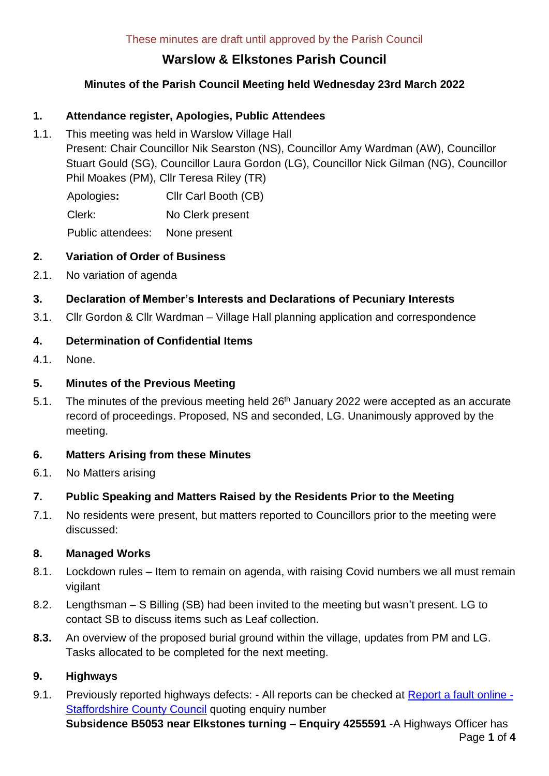# **Warslow & Elkstones Parish Council**

## **Minutes of the Parish Council Meeting held Wednesday 23rd March 2022**

## **1. Attendance register, Apologies, Public Attendees**

1.1. This meeting was held in Warslow Village Hall Present: Chair Councillor Nik Searston (NS), Councillor Amy Wardman (AW), Councillor Stuart Gould (SG), Councillor Laura Gordon (LG), Councillor Nick Gilman (NG), Councillor Phil Moakes (PM), Cllr Teresa Riley (TR)

Apologies**:** Cllr Carl Booth (CB) Clerk: No Clerk present

Public attendees: None present

## **2. Variation of Order of Business**

2.1. No variation of agenda

## **3. Declaration of Member's Interests and Declarations of Pecuniary Interests**

3.1. Cllr Gordon & Cllr Wardman – Village Hall planning application and correspondence

## **4. Determination of Confidential Items**

4.1. None.

## **5. Minutes of the Previous Meeting**

5.1. The minutes of the previous meeting held  $26<sup>th</sup>$  January 2022 were accepted as an accurate record of proceedings. Proposed, NS and seconded, LG. Unanimously approved by the meeting.

## **6. Matters Arising from these Minutes**

6.1. No Matters arising

## **7. Public Speaking and Matters Raised by the Residents Prior to the Meeting**

7.1. No residents were present, but matters reported to Councillors prior to the meeting were discussed:

## **8. Managed Works**

- 8.1. Lockdown rules Item to remain on agenda, with raising Covid numbers we all must remain vigilant
- 8.2. Lengthsman S Billing (SB) had been invited to the meeting but wasn't present. LG to contact SB to discuss items such as Leaf collection.
- **8.3.** An overview of the proposed burial ground within the village, updates from PM and LG. Tasks allocated to be completed for the next meeting.

## **9. Highways**

9.1. Previously reported highways defects: - All reports can be checked at [Report a fault online -](https://apps2.staffordshire.gov.uk/web/reportfault/#divSelectionHeader) [Staffordshire County Council](https://apps2.staffordshire.gov.uk/web/reportfault/#divSelectionHeader) quoting enquiry number

Page **1** of **4 Subsidence B5053 near Elkstones turning – Enquiry 4255591** -A Highways Officer has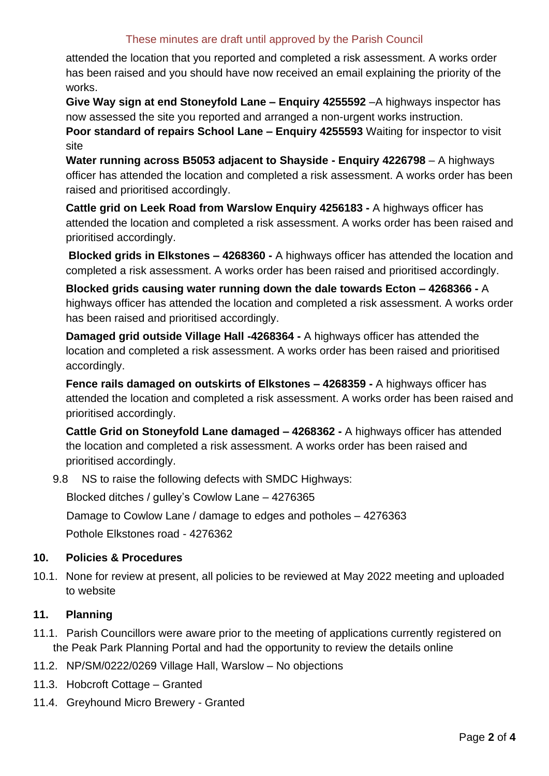## These minutes are draft until approved by the Parish Council

attended the location that you reported and completed a risk assessment. A works order has been raised and you should have now received an email explaining the priority of the works.

**Give Way sign at end Stoneyfold Lane – Enquiry 4255592** –A highways inspector has now assessed the site you reported and arranged a non-urgent works instruction.

**Poor standard of repairs School Lane – Enquiry 4255593** Waiting for inspector to visit site

**Water running across B5053 adjacent to Shayside - Enquiry 4226798** – A highways officer has attended the location and completed a risk assessment. A works order has been raised and prioritised accordingly.

**Cattle grid on Leek Road from Warslow Enquiry 4256183 -** A highways officer has attended the location and completed a risk assessment. A works order has been raised and prioritised accordingly.

**Blocked grids in Elkstones – 4268360 -** A highways officer has attended the location and completed a risk assessment. A works order has been raised and prioritised accordingly.

**Blocked grids causing water running down the dale towards Ecton – 4268366 -** A highways officer has attended the location and completed a risk assessment. A works order has been raised and prioritised accordingly.

**Damaged grid outside Village Hall -4268364 -** A highways officer has attended the location and completed a risk assessment. A works order has been raised and prioritised accordingly.

**Fence rails damaged on outskirts of Elkstones – 4268359 -** A highways officer has attended the location and completed a risk assessment. A works order has been raised and prioritised accordingly.

**Cattle Grid on Stoneyfold Lane damaged – 4268362 -** A highways officer has attended the location and completed a risk assessment. A works order has been raised and prioritised accordingly.

9.8 NS to raise the following defects with SMDC Highways:

Blocked ditches / gulley's Cowlow Lane – 4276365

Damage to Cowlow Lane / damage to edges and potholes – 4276363

Pothole Elkstones road - 4276362

## **10. Policies & Procedures**

10.1. None for review at present, all policies to be reviewed at May 2022 meeting and uploaded to website

## **11. Planning**

- 11.1. Parish Councillors were aware prior to the meeting of applications currently registered on the Peak Park Planning Portal and had the opportunity to review the details online
- 11.2. NP/SM/0222/0269 Village Hall, Warslow No objections
- 11.3. Hobcroft Cottage Granted
- 11.4. Greyhound Micro Brewery Granted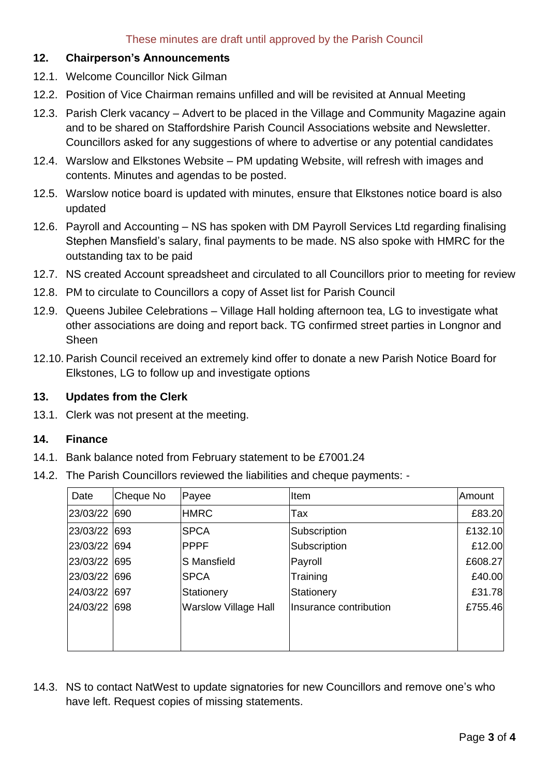#### **12. Chairperson's Announcements**

- 12.1. Welcome Councillor Nick Gilman
- 12.2. Position of Vice Chairman remains unfilled and will be revisited at Annual Meeting
- 12.3. Parish Clerk vacancy Advert to be placed in the Village and Community Magazine again and to be shared on Staffordshire Parish Council Associations website and Newsletter. Councillors asked for any suggestions of where to advertise or any potential candidates
- 12.4. Warslow and Elkstones Website PM updating Website, will refresh with images and contents. Minutes and agendas to be posted.
- 12.5. Warslow notice board is updated with minutes, ensure that Elkstones notice board is also updated
- 12.6. Payroll and Accounting NS has spoken with DM Payroll Services Ltd regarding finalising Stephen Mansfield's salary, final payments to be made. NS also spoke with HMRC for the outstanding tax to be paid
- 12.7. NS created Account spreadsheet and circulated to all Councillors prior to meeting for review
- 12.8. PM to circulate to Councillors a copy of Asset list for Parish Council
- 12.9. Queens Jubilee Celebrations Village Hall holding afternoon tea, LG to investigate what other associations are doing and report back. TG confirmed street parties in Longnor and Sheen
- 12.10. Parish Council received an extremely kind offer to donate a new Parish Notice Board for Elkstones, LG to follow up and investigate options

#### **13. Updates from the Clerk**

13.1. Clerk was not present at the meeting.

#### **14. Finance**

- 14.1. Bank balance noted from February statement to be £7001.24
- 14.2. The Parish Councillors reviewed the liabilities and cheque payments: -

| Date         | Cheque No | Payee                       | Item                   | Amount  |
|--------------|-----------|-----------------------------|------------------------|---------|
| 23/03/22 690 |           | <b>HMRC</b>                 | Tax                    | £83.20  |
| 23/03/22 693 |           | <b>SPCA</b>                 | Subscription           | £132.10 |
| 23/03/22 694 |           | <b>PPPF</b>                 | Subscription           | £12.00  |
| 23/03/22 695 |           | S Mansfield                 | Payroll                | £608.27 |
| 23/03/22 696 |           | <b>SPCA</b>                 | Training               | £40.00  |
| 24/03/22 697 |           | Stationery                  | Stationery             | £31.78  |
| 24/03/22 698 |           | <b>Warslow Village Hall</b> | Insurance contribution | £755.46 |
|              |           |                             |                        |         |
|              |           |                             |                        |         |

14.3. NS to contact NatWest to update signatories for new Councillors and remove one's who have left. Request copies of missing statements.